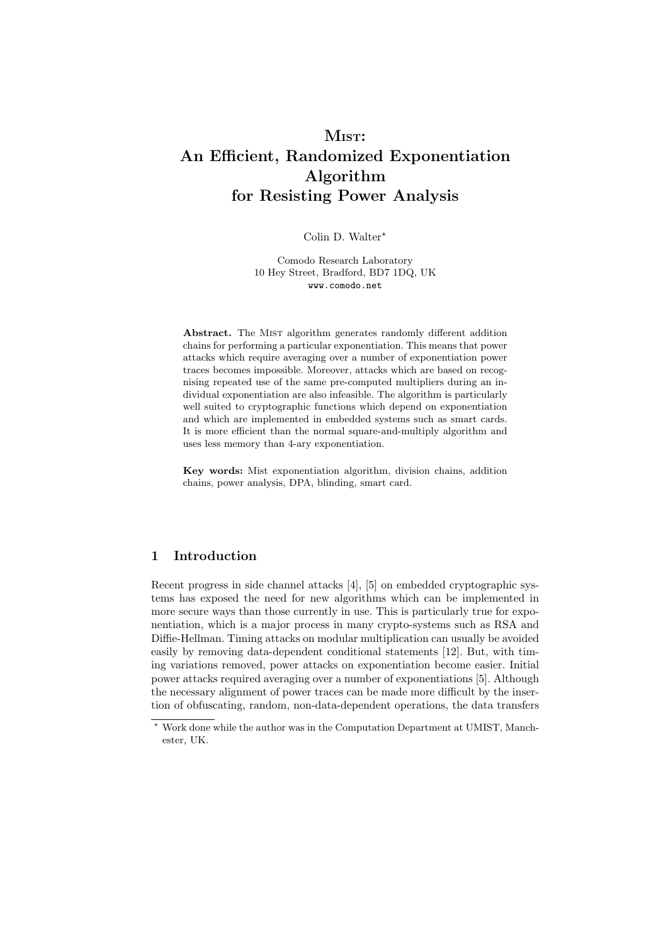# MIST: An Efficient, Randomized Exponentiation Algorithm for Resisting Power Analysis

#### Colin D. Walter\*

Comodo Research Laboratory 10 Hey Street, Bradford, BD7 1DQ, UK www.comodo.net

Abstract. The MIST algorithm generates randomly different addition chains for performing a particular exponentiation. This means that power attacks which require averaging over a number of exponentiation power traces becomes impossible. Moreover, attacks which are based on recognising repeated use of the same pre-computed multipliers during an individual exponentiation are also infeasible. The algorithm is particularly well suited to cryptographic functions which depend on exponentiation and which are implemented in embedded systems such as smart cards. It is more efficient than the normal square-and-multiply algorithm and uses less memory than 4-ary exponentiation.

Key words: Mist exponentiation algorithm, division chains, addition chains, power analysis, DPA, blinding, smart card.

## 1 Introduction

Recent progress in side channel attacks [4], [5] on embedded cryptographic systems has exposed the need for new algorithms which can be implemented in more secure ways than those currently in use. This is particularly true for exponentiation, which is a major process in many crypto-systems such as RSA and Diffie-Hellman. Timing attacks on modular multiplication can usually be avoided easily by removing data-dependent conditional statements [12]. But, with timing variations removed, power attacks on exponentiation become easier. Initial power attacks required averaging over a number of exponentiations [5]. Although the necessary alignment of power traces can be made more difficult by the insertion of obfuscating, random, non-data-dependent operations, the data transfers

<sup>?</sup> Work done while the author was in the Computation Department at UMIST, Manchester, UK.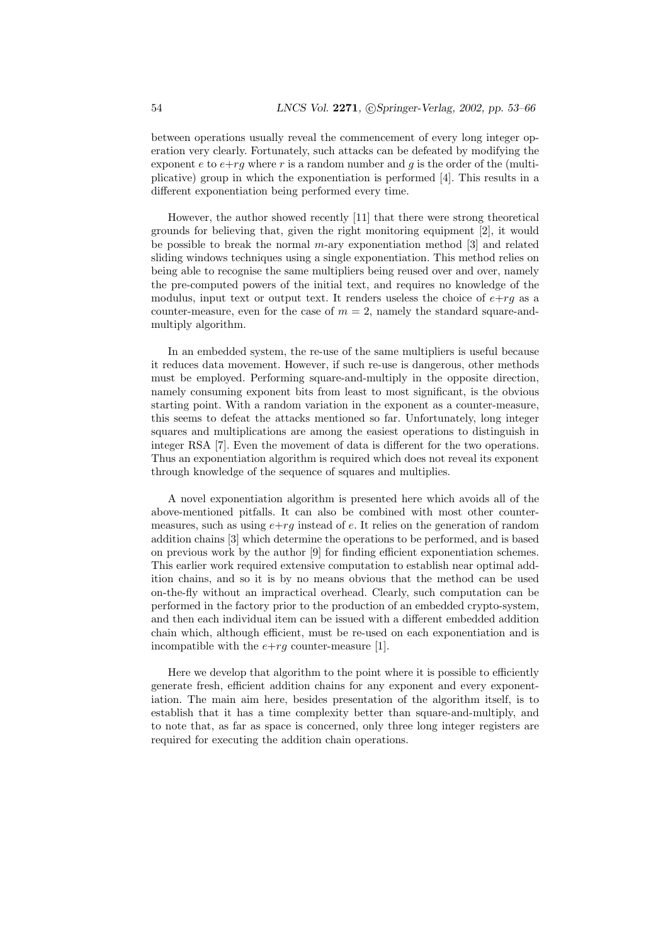between operations usually reveal the commencement of every long integer operation very clearly. Fortunately, such attacks can be defeated by modifying the exponent e to  $e+rg$  where r is a random number and g is the order of the (multiplicative) group in which the exponentiation is performed [4]. This results in a different exponentiation being performed every time.

However, the author showed recently [11] that there were strong theoretical grounds for believing that, given the right monitoring equipment [2], it would be possible to break the normal  $m$ -ary exponentiation method  $[3]$  and related sliding windows techniques using a single exponentiation. This method relies on being able to recognise the same multipliers being reused over and over, namely the pre-computed powers of the initial text, and requires no knowledge of the modulus, input text or output text. It renders useless the choice of  $e+rg$  as a counter-measure, even for the case of  $m = 2$ , namely the standard square-andmultiply algorithm.

In an embedded system, the re-use of the same multipliers is useful because it reduces data movement. However, if such re-use is dangerous, other methods must be employed. Performing square-and-multiply in the opposite direction, namely consuming exponent bits from least to most significant, is the obvious starting point. With a random variation in the exponent as a counter-measure, this seems to defeat the attacks mentioned so far. Unfortunately, long integer squares and multiplications are among the easiest operations to distinguish in integer RSA [7]. Even the movement of data is different for the two operations. Thus an exponentiation algorithm is required which does not reveal its exponent through knowledge of the sequence of squares and multiplies.

A novel exponentiation algorithm is presented here which avoids all of the above-mentioned pitfalls. It can also be combined with most other countermeasures, such as using  $e+rq$  instead of e. It relies on the generation of random addition chains [3] which determine the operations to be performed, and is based on previous work by the author [9] for finding efficient exponentiation schemes. This earlier work required extensive computation to establish near optimal addition chains, and so it is by no means obvious that the method can be used on-the-fly without an impractical overhead. Clearly, such computation can be performed in the factory prior to the production of an embedded crypto-system, and then each individual item can be issued with a different embedded addition chain which, although efficient, must be re-used on each exponentiation and is incompatible with the  $e+rq$  counter-measure [1].

Here we develop that algorithm to the point where it is possible to efficiently generate fresh, efficient addition chains for any exponent and every exponentiation. The main aim here, besides presentation of the algorithm itself, is to establish that it has a time complexity better than square-and-multiply, and to note that, as far as space is concerned, only three long integer registers are required for executing the addition chain operations.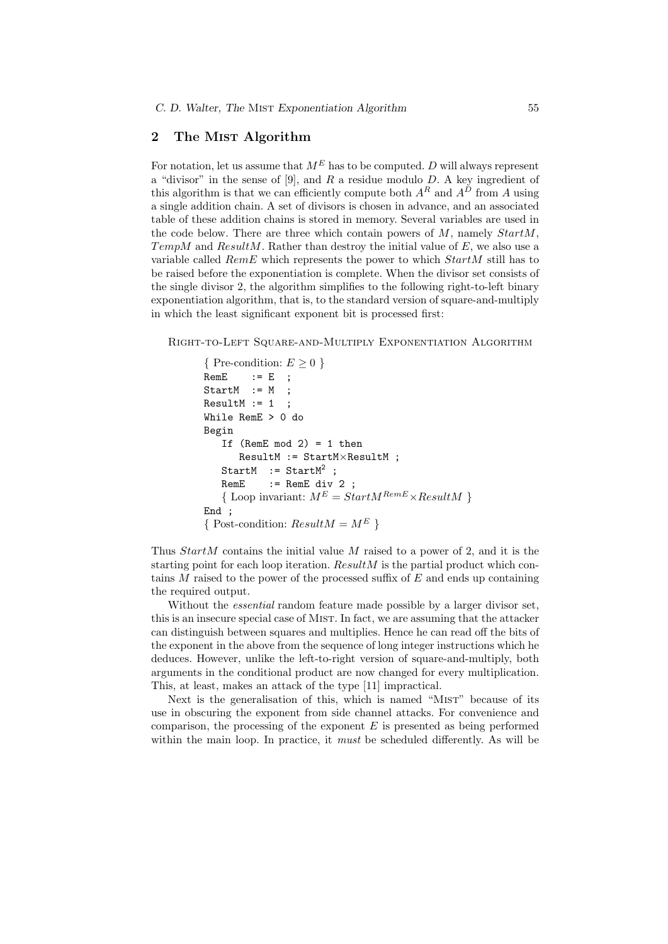## 2 The MIST Algorithm

For notation, let us assume that  $M^E$  has to be computed. D will always represent a "divisor" in the sense of  $[9]$ , and R a residue modulo D. A key ingredient of this algorithm is that we can efficiently compute both  $A^R$  and  $A^D$  from A using a single addition chain. A set of divisors is chosen in advance, and an associated table of these addition chains is stored in memory. Several variables are used in the code below. There are three which contain powers of  $M$ , namely  $StartM$ ,  $TempM$  and  $ResultM$ . Rather than destroy the initial value of  $E$ , we also use a variable called  $RemE$  which represents the power to which  $StartM$  still has to be raised before the exponentiation is complete. When the divisor set consists of the single divisor 2, the algorithm simplifies to the following right-to-left binary exponentiation algorithm, that is, to the standard version of square-and-multiply in which the least significant exponent bit is processed first:

Right-to-Left Square-and-Multiply Exponentiation Algorithm

```
{ Pre-condition: E \geq 0 }
RemE := E :
StartM := M:
ResultM := 1While RemE > 0 do
Begin
   If (RemE mod 2) = 1 then
      ResultM := StartM×ResultM ;
   StartM := StartM<sup>2</sup> ;
   RemE := RemE div 2 ;
   {Loop invariant: M^E = StartM^{RemE} \times ResultM }
End ;
{ Post-condition: ResultM = M^E}
```
Thus  $StartM$  contains the initial value M raised to a power of 2, and it is the starting point for each loop iteration.  $ResultM$  is the partial product which contains  $M$  raised to the power of the processed suffix of  $E$  and ends up containing the required output.

Without the *essential* random feature made possible by a larger divisor set, this is an insecure special case of Mist. In fact, we are assuming that the attacker can distinguish between squares and multiplies. Hence he can read off the bits of the exponent in the above from the sequence of long integer instructions which he deduces. However, unlike the left-to-right version of square-and-multiply, both arguments in the conditional product are now changed for every multiplication. This, at least, makes an attack of the type [11] impractical.

Next is the generalisation of this, which is named "MIST" because of its use in obscuring the exponent from side channel attacks. For convenience and comparison, the processing of the exponent  $E$  is presented as being performed within the main loop. In practice, it *must* be scheduled differently. As will be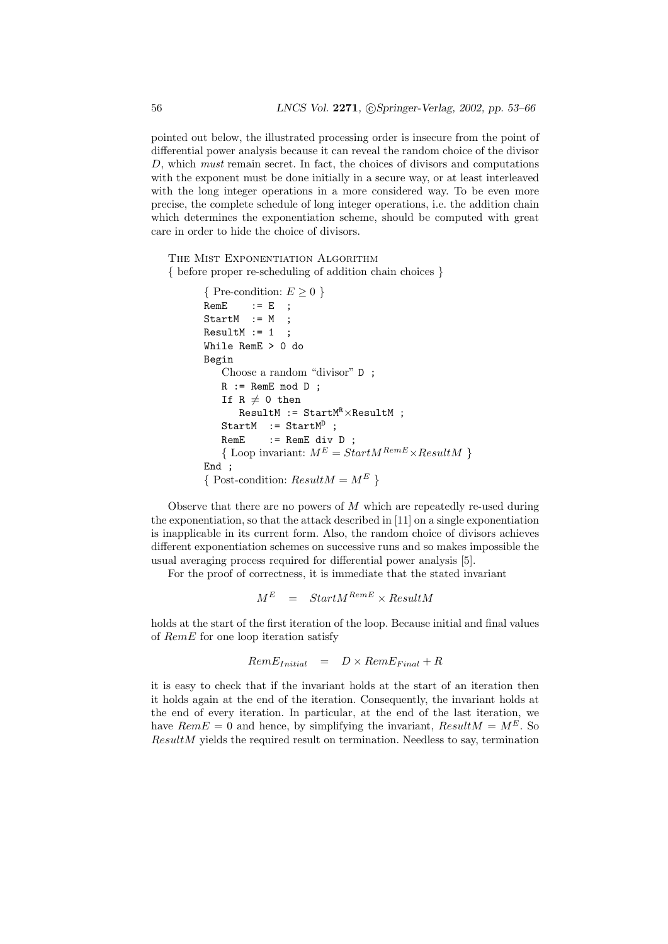pointed out below, the illustrated processing order is insecure from the point of differential power analysis because it can reveal the random choice of the divisor D, which must remain secret. In fact, the choices of divisors and computations with the exponent must be done initially in a secure way, or at least interleaved with the long integer operations in a more considered way. To be even more precise, the complete schedule of long integer operations, i.e. the addition chain which determines the exponentiation scheme, should be computed with great care in order to hide the choice of divisors.

THE MIST EXPONENTIATION ALGORITHM { before proper re-scheduling of addition chain choices }

```
{ Pre-condition: E \geq 0 }
RemE := E;
StartM := M ;
ResultM := 1 ;
While RemE > 0 do
Begin
   Choose a random "divisor" D ;
   R := RemE mod D;
   If R \neq 0 then
       ResultM := StartM<sup>R</sup> \times ResultM :
   StartM := StartM<sup>D</sup> ;
   RemE := RemE div D;
   {Loop invariant: M^E = StartM^{RemE} \times ResultM }
End ;
{ Post-condition: ResultM = M^E}
```
Observe that there are no powers of  $M$  which are repeatedly re-used during the exponentiation, so that the attack described in [11] on a single exponentiation is inapplicable in its current form. Also, the random choice of divisors achieves different exponentiation schemes on successive runs and so makes impossible the usual averaging process required for differential power analysis [5].

For the proof of correctness, it is immediate that the stated invariant

 $M^E$  = Start M<sup>RemE</sup> × Result M

holds at the start of the first iteration of the loop. Because initial and final values of RemE for one loop iteration satisfy

$$
RemE_{Initial} = D \times RemE_{Final} + R
$$

it is easy to check that if the invariant holds at the start of an iteration then it holds again at the end of the iteration. Consequently, the invariant holds at the end of every iteration. In particular, at the end of the last iteration, we have  $RemE = 0$  and hence, by simplifying the invariant,  $ResultM = M<sup>E</sup>$ . So  $ResultM$  yields the required result on termination. Needless to say, termination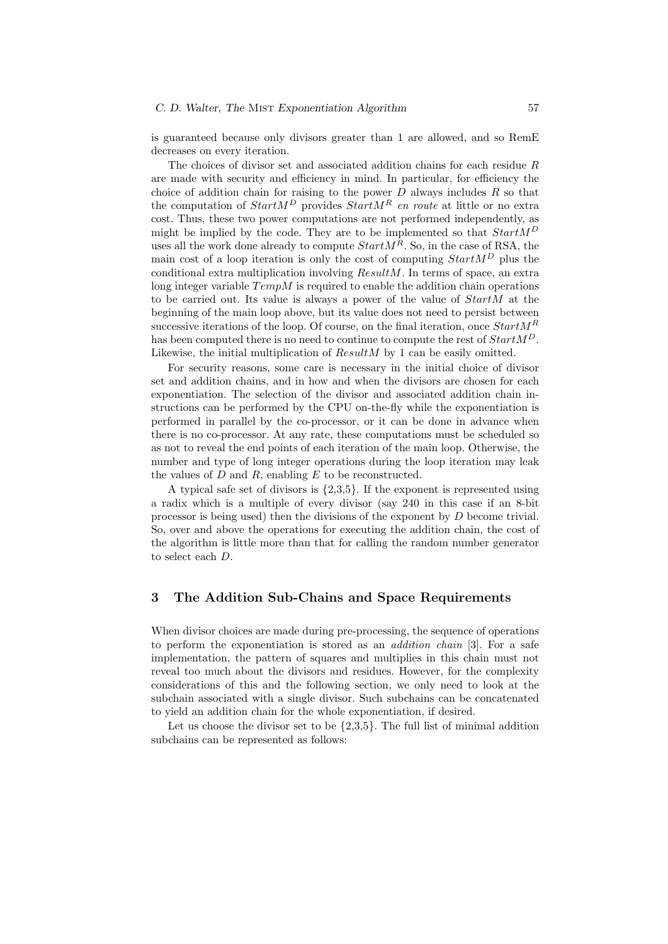is guaranteed because only divisors greater than 1 are allowed, and so RemE decreases on every iteration.

The choices of divisor set and associated addition chains for each residue R are made with security and efficiency in mind. In particular, for efficiency the choice of addition chain for raising to the power  $D$  always includes  $R$  so that the computation of  $StartM<sup>D</sup>$  provides  $StartM<sup>R</sup>$  en route at little or no extra cost. Thus, these two power computations are not performed independently, as might be implied by the code. They are to be implemented so that  $StartM<sup>D</sup>$ uses all the work done already to compute  $StartM<sup>R</sup>$ . So, in the case of RSA, the main cost of a loop iteration is only the cost of computing  $StartM<sup>D</sup>$  plus the conditional extra multiplication involving ResultM. In terms of space, an extra long integer variable  $TempM$  is required to enable the addition chain operations to be carried out. Its value is always a power of the value of StartM at the beginning of the main loop above, but its value does not need to persist between successive iterations of the loop. Of course, on the final iteration, once  $StartM<sup>R</sup>$ has been computed there is no need to continue to compute the rest of  $StartM<sup>D</sup>$ . Likewise, the initial multiplication of  $ResultM$  by 1 can be easily omitted.

For security reasons, some care is necessary in the initial choice of divisor set and addition chains, and in how and when the divisors are chosen for each exponentiation. The selection of the divisor and associated addition chain instructions can be performed by the CPU on-the-fly while the exponentiation is performed in parallel by the co-processor, or it can be done in advance when there is no co-processor. At any rate, these computations must be scheduled so as not to reveal the end points of each iteration of the main loop. Otherwise, the number and type of long integer operations during the loop iteration may leak the values of  $D$  and  $R$ , enabling  $E$  to be reconstructed.

A typical safe set of divisors is {2,3,5}. If the exponent is represented using a radix which is a multiple of every divisor (say 240 in this case if an 8-bit processor is being used) then the divisions of the exponent by D become trivial. So, over and above the operations for executing the addition chain, the cost of the algorithm is little more than that for calling the random number generator to select each D.

## 3 The Addition Sub-Chains and Space Requirements

When divisor choices are made during pre-processing, the sequence of operations to perform the exponentiation is stored as an addition chain [3]. For a safe implementation, the pattern of squares and multiplies in this chain must not reveal too much about the divisors and residues. However, for the complexity considerations of this and the following section, we only need to look at the subchain associated with a single divisor. Such subchains can be concatenated to yield an addition chain for the whole exponentiation, if desired.

Let us choose the divisor set to be  $\{2,3,5\}$ . The full list of minimal addition subchains can be represented as follows: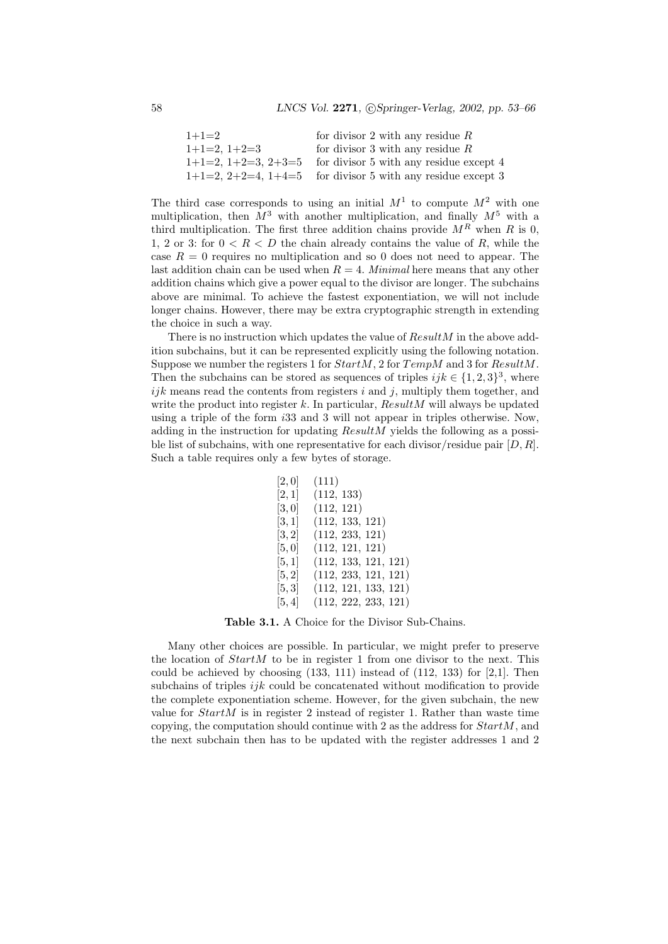| $1+1=2$        | for divisor 2 with any residue $R$                                  |
|----------------|---------------------------------------------------------------------|
| $1+1=2, 1+2=3$ | for divisor 3 with any residue $R$                                  |
|                | $1+1=2$ , $1+2=3$ , $2+3=5$ for divisor 5 with any residue except 4 |
|                | $1+1=2$ , $2+2=4$ , $1+4=5$ for divisor 5 with any residue except 3 |

The third case corresponds to using an initial  $M<sup>1</sup>$  to compute  $M<sup>2</sup>$  with one multiplication, then  $M^3$  with another multiplication, and finally  $M^5$  with a third multiplication. The first three addition chains provide  $M^R$  when R is 0, 1, 2 or 3: for  $0 < R < D$  the chain already contains the value of R, while the case  $R = 0$  requires no multiplication and so 0 does not need to appear. The last addition chain can be used when  $R = 4$ . Minimal here means that any other addition chains which give a power equal to the divisor are longer. The subchains above are minimal. To achieve the fastest exponentiation, we will not include longer chains. However, there may be extra cryptographic strength in extending the choice in such a way.

There is no instruction which updates the value of  $ResultM$  in the above addition subchains, but it can be represented explicitly using the following notation. Suppose we number the registers 1 for  $StartM$ , 2 for  $TempM$  and 3 for  $ResultM$ . Then the subchains can be stored as sequences of triples  $ijk \in \{1,2,3\}^3$ , where  $ijk$  means read the contents from registers i and j, multiply them together, and write the product into register  $k$ . In particular,  $ResultM$  will always be updated using a triple of the form i33 and 3 will not appear in triples otherwise. Now, adding in the instruction for updating  $ResultM$  yields the following as a possible list of subchains, with one representative for each divisor/residue pair  $[D, R]$ . Such a table requires only a few bytes of storage.

| [2,0]  | (111)                |
|--------|----------------------|
| [2,1]  | (112, 133)           |
| [3,0]  | (112, 121)           |
| [3,1]  | (112, 133, 121)      |
| [3, 2] | (112, 233, 121)      |
| [5,0]  | (112, 121, 121)      |
| [5,1]  | (112, 133, 121, 121) |
| [5, 2] | (112, 233, 121, 121) |
| [5,3]  | (112, 121, 133, 121) |
| [5,4]  | (112, 222, 233, 121) |

Table 3.1. A Choice for the Divisor Sub-Chains.

Many other choices are possible. In particular, we might prefer to preserve the location of  $StartM$  to be in register 1 from one divisor to the next. This could be achieved by choosing  $(133, 111)$  instead of  $(112, 133)$  for  $[2,1]$ . Then subchains of triples  $ijk$  could be concatenated without modification to provide the complete exponentiation scheme. However, for the given subchain, the new value for  $StartM$  is in register 2 instead of register 1. Rather than waste time copying, the computation should continue with 2 as the address for  $StartM$ , and the next subchain then has to be updated with the register addresses 1 and 2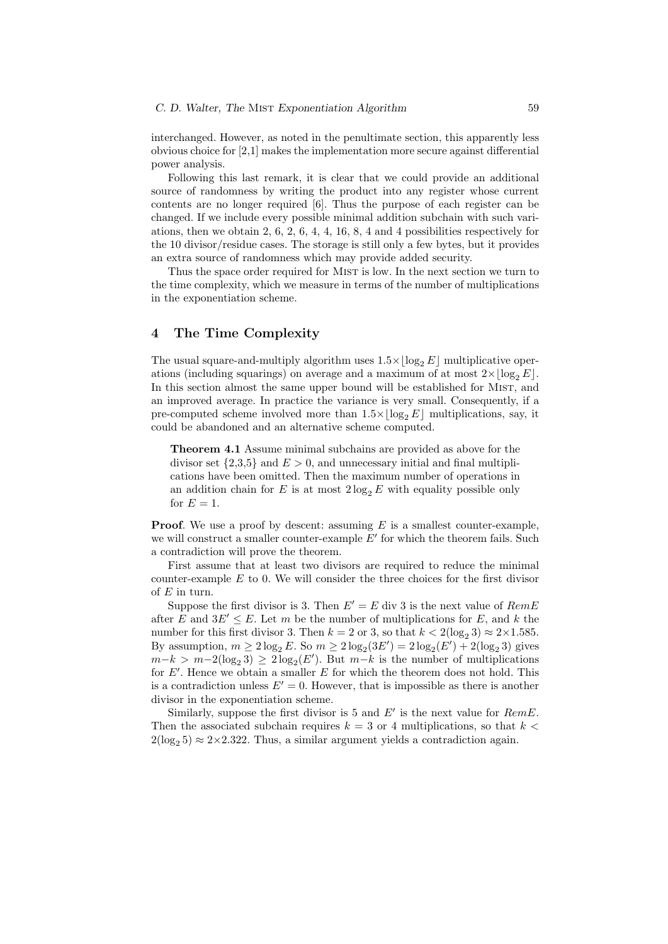#### C. D. Walter, The Mist Exponentiation Algorithm 59

interchanged. However, as noted in the penultimate section, this apparently less obvious choice for [2,1] makes the implementation more secure against differential power analysis.

Following this last remark, it is clear that we could provide an additional source of randomness by writing the product into any register whose current contents are no longer required [6]. Thus the purpose of each register can be changed. If we include every possible minimal addition subchain with such variations, then we obtain 2, 6, 2, 6, 4, 4, 16, 8, 4 and 4 possibilities respectively for the 10 divisor/residue cases. The storage is still only a few bytes, but it provides an extra source of randomness which may provide added security.

Thus the space order required for MIST is low. In the next section we turn to the time complexity, which we measure in terms of the number of multiplications in the exponentiation scheme.

### 4 The Time Complexity

The usual square-and-multiply algorithm uses  $1.5\times \lfloor \log_2 E \rfloor$  multiplicative operations (including squarings) on average and a maximum of at most  $2\times \log_2 E$ . In this section almost the same upper bound will be established for MIST, and an improved average. In practice the variance is very small. Consequently, if a pre-computed scheme involved more than  $1.5\times|\log_2 E|$  multiplications, say, it could be abandoned and an alternative scheme computed.

Theorem 4.1 Assume minimal subchains are provided as above for the divisor set  $\{2,3,5\}$  and  $E > 0$ , and unnecessary initial and final multiplications have been omitted. Then the maximum number of operations in an addition chain for E is at most  $2 \log_2 E$  with equality possible only for  $E=1$ .

**Proof.** We use a proof by descent: assuming  $E$  is a smallest counter-example, we will construct a smaller counter-example  $E'$  for which the theorem fails. Such a contradiction will prove the theorem.

First assume that at least two divisors are required to reduce the minimal counter-example  $E$  to 0. We will consider the three choices for the first divisor of  $E$  in turn.

Suppose the first divisor is 3. Then  $E' = E$  div 3 is the next value of  $RemE$ after E and  $3E' \leq E$ . Let m be the number of multiplications for E, and k the number for this first divisor 3. Then  $k = 2$  or 3, so that  $k < 2(\log_2 3) \approx 2 \times 1.585$ . By assumption,  $m \geq 2 \log_2 E$ . So  $m \geq 2 \log_2(3E') = 2 \log_2(E') + 2(\log_2 3)$  gives  $m-k > m-2(\log_2 3) \geq 2\log_2 (E')$ . But  $m-k$  is the number of multiplications for  $E'$ . Hence we obtain a smaller  $E$  for which the theorem does not hold. This is a contradiction unless  $E' = 0$ . However, that is impossible as there is another divisor in the exponentiation scheme.

Similarly, suppose the first divisor is 5 and  $E'$  is the next value for  $RemE$ . Then the associated subchain requires  $k = 3$  or 4 multiplications, so that  $k <$  $2(\log_2 5) \approx 2 \times 2.322$ . Thus, a similar argument yields a contradiction again.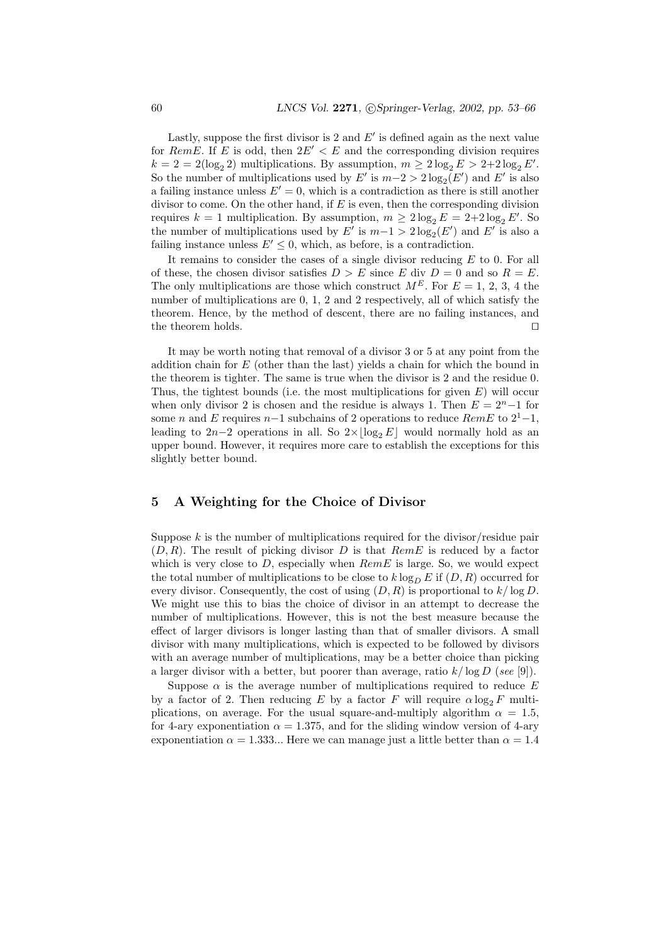Lastly, suppose the first divisor is 2 and  $E'$  is defined again as the next value for RemE. If E is odd, then  $2E' < E$  and the corresponding division requires  $k = 2 = 2(\log_2 2)$  multiplications. By assumption,  $m \ge 2 \log_2 E > 2+2 \log_2 E'$ . So the number of multiplications used by  $E'$  is  $m-2 > 2 \log_2(E')$  and  $E'$  is also a failing instance unless  $E' = 0$ , which is a contradiction as there is still another divisor to come. On the other hand, if  $E$  is even, then the corresponding division requires  $k = 1$  multiplication. By assumption,  $m \geq 2 \log_2 E = 2 + 2 \log_2 E'$ . So the number of multiplications used by  $E'$  is  $m-1 > 2 \log_2(E')$  and  $E'$  is also a failing instance unless  $E' \leq 0$ , which, as before, is a contradiction.

It remains to consider the cases of a single divisor reducing  $E$  to 0. For all of these, the chosen divisor satisfies  $D > E$  since E div  $D = 0$  and so  $R = E$ . The only multiplications are those which construct  $M^E$ . For  $E = 1, 2, 3, 4$  the number of multiplications are 0, 1, 2 and 2 respectively, all of which satisfy the theorem. Hence, by the method of descent, there are no failing instances, and the theorem holds.  $\Box$ 

It may be worth noting that removal of a divisor 3 or 5 at any point from the addition chain for  $E$  (other than the last) yields a chain for which the bound in the theorem is tighter. The same is true when the divisor is 2 and the residue 0. Thus, the tightest bounds (i.e. the most multiplications for given  $E$ ) will occur when only divisor 2 is chosen and the residue is always 1. Then  $E = 2<sup>n</sup> - 1$  for some n and E requires  $n-1$  subchains of 2 operations to reduce  $RemE$  to  $2<sup>1</sup>-1$ , leading to 2n−2 operations in all. So  $2\times \log_2 E$  would normally hold as an upper bound. However, it requires more care to establish the exceptions for this slightly better bound.

## 5 A Weighting for the Choice of Divisor

Suppose  $k$  is the number of multiplications required for the divisor/residue pair  $(D, R)$ . The result of picking divisor D is that  $RemE$  is reduced by a factor which is very close to  $D$ , especially when  $RemE$  is large. So, we would expect the total number of multiplications to be close to  $k \log_D E$  if  $(D, R)$  occurred for every divisor. Consequently, the cost of using  $(D, R)$  is proportional to  $k/\log D$ . We might use this to bias the choice of divisor in an attempt to decrease the number of multiplications. However, this is not the best measure because the effect of larger divisors is longer lasting than that of smaller divisors. A small divisor with many multiplications, which is expected to be followed by divisors with an average number of multiplications, may be a better choice than picking a larger divisor with a better, but poorer than average, ratio  $k/\log D$  (see [9]).

Suppose  $\alpha$  is the average number of multiplications required to reduce E by a factor of 2. Then reducing E by a factor F will require  $\alpha \log_2 F$  multiplications, on average. For the usual square-and-multiply algorithm  $\alpha = 1.5$ , for 4-ary exponentiation  $\alpha = 1.375$ , and for the sliding window version of 4-ary exponentiation  $\alpha = 1.333...$  Here we can manage just a little better than  $\alpha = 1.4$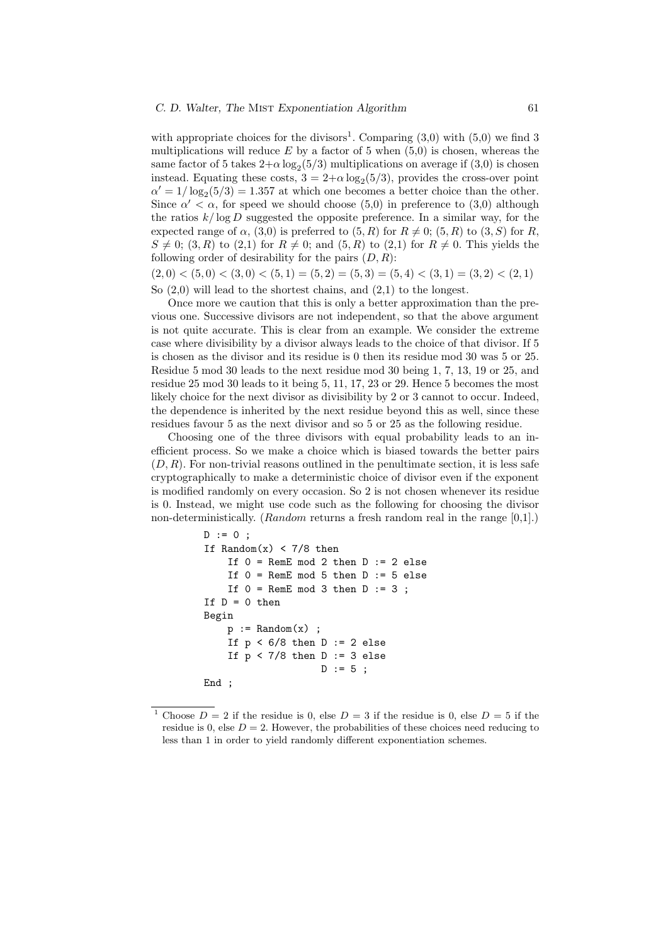with appropriate choices for the divisors<sup>1</sup>. Comparing  $(3,0)$  with  $(5,0)$  we find 3 multiplications will reduce  $E$  by a factor of 5 when (5,0) is chosen, whereas the same factor of 5 takes  $2+\alpha \log_2(5/3)$  multiplications on average if  $(3,0)$  is chosen instead. Equating these costs,  $3 = 2 + \alpha \log_2(5/3)$ , provides the cross-over point  $\alpha' = 1/\log_2(5/3) = 1.357$  at which one becomes a better choice than the other. Since  $\alpha' < \alpha$ , for speed we should choose (5,0) in preference to (3,0) although the ratios  $k/\log D$  suggested the opposite preference. In a similar way, for the expected range of  $\alpha$ , (3,0) is preferred to (5, R) for  $R \neq 0$ ; (5, R) to (3, S) for R,  $S \neq 0$ ; (3, R) to (2,1) for  $R \neq 0$ ; and (5, R) to (2,1) for  $R \neq 0$ . This yields the following order of desirability for the pairs  $(D, R)$ :

 $(2,0) < (5,0) < (3,0) < (5,1) = (5,2) = (5,3) = (5,4) < (3,1) = (3,2) < (2,1)$ So (2,0) will lead to the shortest chains, and (2,1) to the longest.

Once more we caution that this is only a better approximation than the previous one. Successive divisors are not independent, so that the above argument is not quite accurate. This is clear from an example. We consider the extreme case where divisibility by a divisor always leads to the choice of that divisor. If 5 is chosen as the divisor and its residue is 0 then its residue mod 30 was 5 or 25. Residue 5 mod 30 leads to the next residue mod 30 being 1, 7, 13, 19 or 25, and residue 25 mod 30 leads to it being 5, 11, 17, 23 or 29. Hence 5 becomes the most likely choice for the next divisor as divisibility by 2 or 3 cannot to occur. Indeed, the dependence is inherited by the next residue beyond this as well, since these residues favour 5 as the next divisor and so 5 or 25 as the following residue.

Choosing one of the three divisors with equal probability leads to an inefficient process. So we make a choice which is biased towards the better pairs  $(D, R)$ . For non-trivial reasons outlined in the penultimate section, it is less safe cryptographically to make a deterministic choice of divisor even if the exponent is modified randomly on every occasion. So 2 is not chosen whenever its residue is 0. Instead, we might use code such as the following for choosing the divisor non-deterministically. (*Random* returns a fresh random real in the range  $[0,1]$ .)

```
D := 0 :
If Random(x) < 7/8 then
    If 0 = RemE mod 2 then D := 2 else
    If 0 = RemE mod 5 then D := 5 else
    If 0 = RemE mod 3 then D := 3;
If D = 0 then
Begin
    p := Random(x);
    If p < 6/8 then D := 2 else
    If p < 7/8 then D := 3 else
                    D := 5;
End ;
```
<sup>&</sup>lt;sup>1</sup> Choose  $D = 2$  if the residue is 0, else  $D = 3$  if the residue is 0, else  $D = 5$  if the residue is 0, else  $D = 2$ . However, the probabilities of these choices need reducing to less than 1 in order to yield randomly different exponentiation schemes.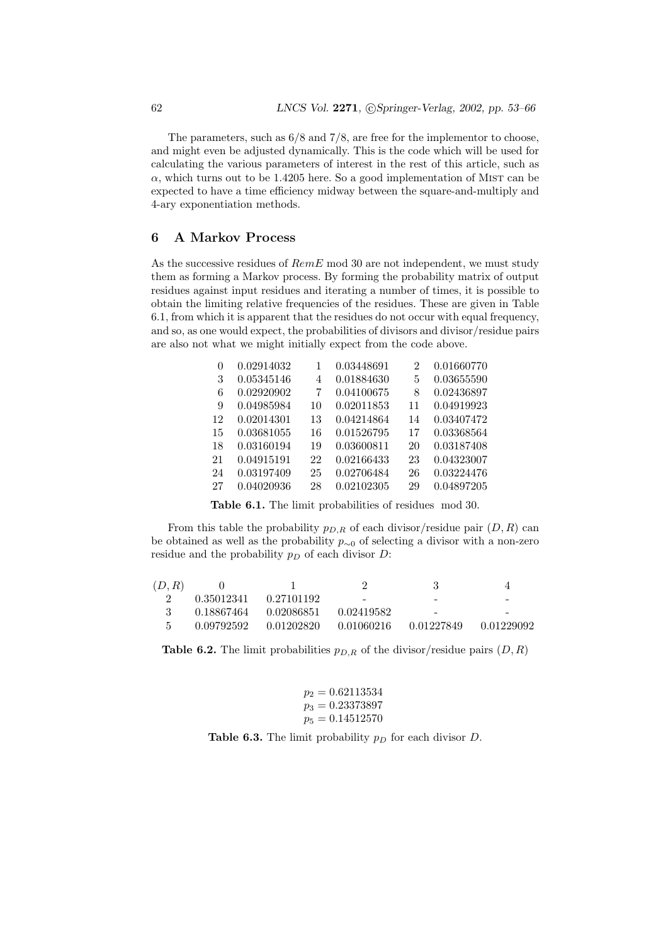The parameters, such as 6/8 and 7/8, are free for the implementor to choose, and might even be adjusted dynamically. This is the code which will be used for calculating the various parameters of interest in the rest of this article, such as  $\alpha$ , which turns out to be 1.4205 here. So a good implementation of MIST can be expected to have a time efficiency midway between the square-and-multiply and 4-ary exponentiation methods.

## 6 A Markov Process

As the successive residues of  $RemE$  mod 30 are not independent, we must study them as forming a Markov process. By forming the probability matrix of output residues against input residues and iterating a number of times, it is possible to obtain the limiting relative frequencies of the residues. These are given in Table 6.1, from which it is apparent that the residues do not occur with equal frequency, and so, as one would expect, the probabilities of divisors and divisor/residue pairs are also not what we might initially expect from the code above.

| $\theta$ | 0.02914032 |    | 0.03448691 | 2  | 0.01660770 |
|----------|------------|----|------------|----|------------|
| 3        | 0.05345146 | 4  | 0.01884630 | 5  | 0.03655590 |
| 6        | 0.02920902 | 7  | 0.04100675 | 8  | 0.02436897 |
| 9        | 0.04985984 | 10 | 0.02011853 | 11 | 0.04919923 |
| 12       | 0.02014301 | 13 | 0.04214864 | 14 | 0.03407472 |
| 15       | 0.03681055 | 16 | 0.01526795 | 17 | 0.03368564 |
| 18       | 0.03160194 | 19 | 0.03600811 | 20 | 0.03187408 |
| 21       | 0.04915191 | 22 | 0.02166433 | 23 | 0.04323007 |
| 24       | 0.03197409 | 25 | 0.02706484 | 26 | 0.03224476 |
| 27       | 0.04020936 | 28 | 0.02102305 | 29 | 0.04897205 |

Table 6.1. The limit probabilities of residues mod 30.

From this table the probability  $p_{D,R}$  of each divisor/residue pair  $(D, R)$  can be obtained as well as the probability  $p_{\sim 0}$  of selecting a divisor with a non-zero residue and the probability  $p_D$  of each divisor  $D$ :

| (D,R) |            |            |            |                 |                          |
|-------|------------|------------|------------|-----------------|--------------------------|
|       | 0.35012341 | 0.27101192 | -          | $\qquad \qquad$ | $\overline{\phantom{0}}$ |
|       | 0.18867464 | 0.02086851 | 0.02419582 | -               | -                        |
|       | 0.09792592 | 0.01202820 | 0.01060216 | 0.01227849      | 0.01229092               |

**Table 6.2.** The limit probabilities  $p_{D,R}$  of the divisor/residue pairs  $(D, R)$ 

| $p_2 = 0.62113534$ |
|--------------------|
| $p_3 = 0.23373897$ |
| $p_5 = 0.14512570$ |

Table 6.3. The limit probability  $p<sub>D</sub>$  for each divisor D.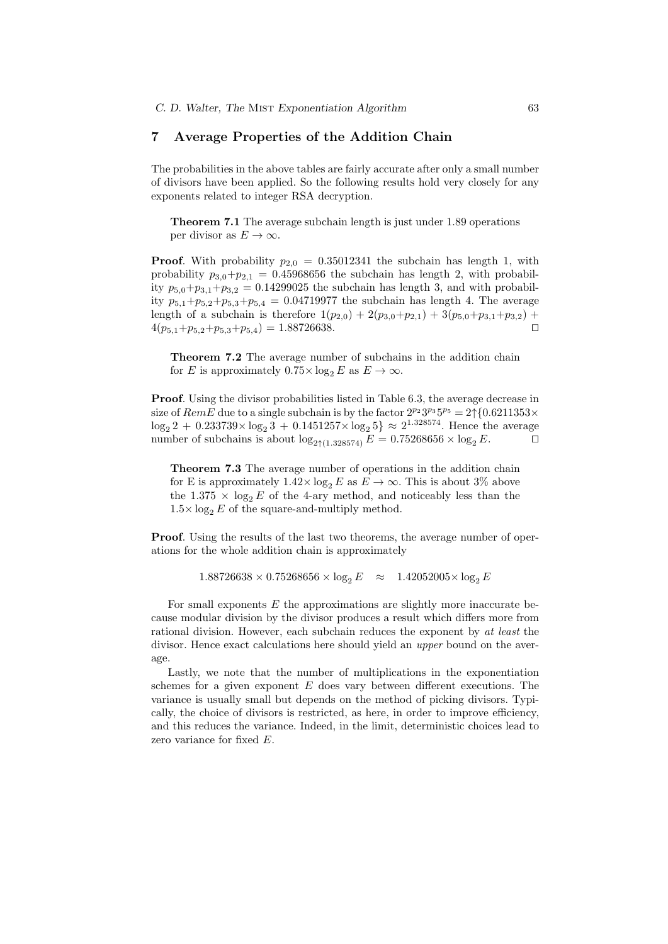## 7 Average Properties of the Addition Chain

The probabilities in the above tables are fairly accurate after only a small number of divisors have been applied. So the following results hold very closely for any exponents related to integer RSA decryption.

Theorem 7.1 The average subchain length is just under 1.89 operations per divisor as  $E \to \infty$ .

**Proof.** With probability  $p_{2,0} = 0.35012341$  the subchain has length 1, with probability  $p_{3,0}+p_{2,1} = 0.45968656$  the subchain has length 2, with probability  $p_{5,0}+p_{3,1}+p_{3,2}=0.14299025$  the subchain has length 3, and with probability  $p_{5,1}+p_{5,2}+p_{5,3}+p_{5,4} = 0.04719977$  the subchain has length 4. The average length of a subchain is therefore  $1(p_{2,0}) + 2(p_{3,0}+p_{2,1}) + 3(p_{5,0}+p_{3,1}+p_{3,2})$  +  $4(p_{5,1}+p_{5,2}+p_{5,3}+p_{5,4}) = 1.88726638.$ 

Theorem 7.2 The average number of subchains in the addition chain for E is approximately  $0.75 \times \log_2 E$  as  $E \to \infty$ .

Proof. Using the divisor probabilities listed in Table 6.3, the average decrease in size of RemE due to a single subchain is by the factor  $2^{p_2}3^{p_3}5^{p_5} = 2 \uparrow \{0.6211353 \times$  $\log_2 2 + 0.233739 \times \log_2 3 + 0.1451257 \times \log_2 5$   $\approx 2^{1.328574}$ . Hence the average number of subchains is about  $\log_{2\uparrow(1.328574)} E = 0.75268656 \times \log_2 E$ .

Theorem 7.3 The average number of operations in the addition chain for E is approximately  $1.42 \times \log_2 E$  as  $E \to \infty$ . This is about 3% above the 1.375  $\times$  log<sub>2</sub> E of the 4-ary method, and noticeably less than the  $1.5\times \log_2 E$  of the square-and-multiply method.

**Proof.** Using the results of the last two theorems, the average number of operations for the whole addition chain is approximately

 $1.88726638 \times 0.75268656 \times \log_2 E \approx 1.42052005 \times \log_2 E$ 

For small exponents  $E$  the approximations are slightly more inaccurate because modular division by the divisor produces a result which differs more from rational division. However, each subchain reduces the exponent by at least the divisor. Hence exact calculations here should yield an upper bound on the average.

Lastly, we note that the number of multiplications in the exponentiation schemes for a given exponent  $E$  does vary between different executions. The variance is usually small but depends on the method of picking divisors. Typically, the choice of divisors is restricted, as here, in order to improve efficiency, and this reduces the variance. Indeed, in the limit, deterministic choices lead to zero variance for fixed E.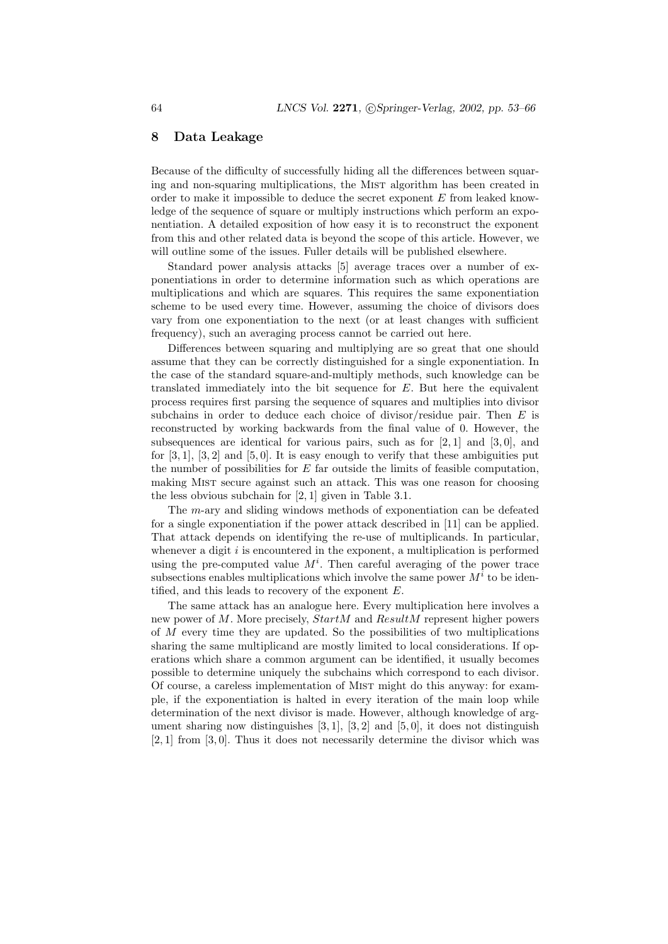## 8 Data Leakage

Because of the difficulty of successfully hiding all the differences between squaring and non-squaring multiplications, the MIST algorithm has been created in order to make it impossible to deduce the secret exponent  $E$  from leaked knowledge of the sequence of square or multiply instructions which perform an exponentiation. A detailed exposition of how easy it is to reconstruct the exponent from this and other related data is beyond the scope of this article. However, we will outline some of the issues. Fuller details will be published elsewhere.

Standard power analysis attacks [5] average traces over a number of exponentiations in order to determine information such as which operations are multiplications and which are squares. This requires the same exponentiation scheme to be used every time. However, assuming the choice of divisors does vary from one exponentiation to the next (or at least changes with sufficient frequency), such an averaging process cannot be carried out here.

Differences between squaring and multiplying are so great that one should assume that they can be correctly distinguished for a single exponentiation. In the case of the standard square-and-multiply methods, such knowledge can be translated immediately into the bit sequence for  $E$ . But here the equivalent process requires first parsing the sequence of squares and multiplies into divisor subchains in order to deduce each choice of divisor/residue pair. Then  $E$  is reconstructed by working backwards from the final value of 0. However, the subsequences are identical for various pairs, such as for  $[2, 1]$  and  $[3, 0]$ , and for  $[3, 1]$ ,  $[3, 2]$  and  $[5, 0]$ . It is easy enough to verify that these ambiguities put the number of possibilities for  $E$  far outside the limits of feasible computation, making Mist secure against such an attack. This was one reason for choosing the less obvious subchain for [2, 1] given in Table 3.1.

The m-ary and sliding windows methods of exponentiation can be defeated for a single exponentiation if the power attack described in [11] can be applied. That attack depends on identifying the re-use of multiplicands. In particular, whenever a digit  $i$  is encountered in the exponent, a multiplication is performed using the pre-computed value  $M<sup>i</sup>$ . Then careful averaging of the power trace subsections enables multiplications which involve the same power  $M^i$  to be identified, and this leads to recovery of the exponent E.

The same attack has an analogue here. Every multiplication here involves a new power of M. More precisely,  $StartM$  and  $ResultM$  represent higher powers of M every time they are updated. So the possibilities of two multiplications sharing the same multiplicand are mostly limited to local considerations. If operations which share a common argument can be identified, it usually becomes possible to determine uniquely the subchains which correspond to each divisor. Of course, a careless implementation of Mist might do this anyway: for example, if the exponentiation is halted in every iteration of the main loop while determination of the next divisor is made. However, although knowledge of argument sharing now distinguishes  $[3, 1]$ ,  $[3, 2]$  and  $[5, 0]$ , it does not distinguish  $[2, 1]$  from  $[3, 0]$ . Thus it does not necessarily determine the divisor which was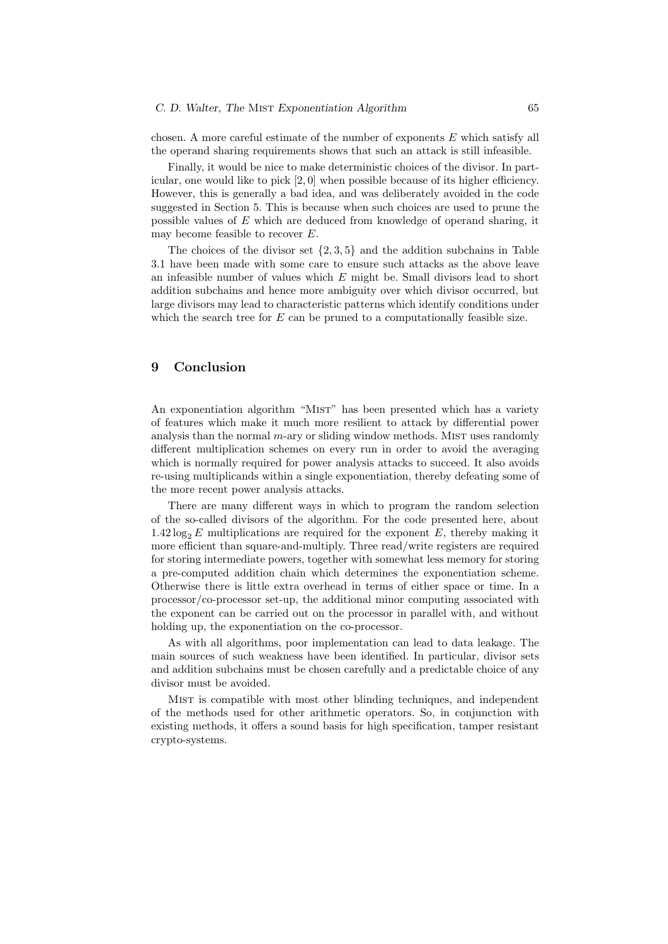chosen. A more careful estimate of the number of exponents  $E$  which satisfy all the operand sharing requirements shows that such an attack is still infeasible.

Finally, it would be nice to make deterministic choices of the divisor. In particular, one would like to pick [2, 0] when possible because of its higher efficiency. However, this is generally a bad idea, and was deliberately avoided in the code suggested in Section 5. This is because when such choices are used to prune the possible values of E which are deduced from knowledge of operand sharing, it may become feasible to recover  $E$ .

The choices of the divisor set  $\{2,3,5\}$  and the addition subchains in Table 3.1 have been made with some care to ensure such attacks as the above leave an infeasible number of values which  $E$  might be. Small divisors lead to short addition subchains and hence more ambiguity over which divisor occurred, but large divisors may lead to characteristic patterns which identify conditions under which the search tree for  $E$  can be pruned to a computationally feasible size.

## 9 Conclusion

An exponentiation algorithm "MIST" has been presented which has a variety of features which make it much more resilient to attack by differential power analysis than the normal  $m$ -ary or sliding window methods. MIST uses randomly different multiplication schemes on every run in order to avoid the averaging which is normally required for power analysis attacks to succeed. It also avoids re-using multiplicands within a single exponentiation, thereby defeating some of the more recent power analysis attacks.

There are many different ways in which to program the random selection of the so-called divisors of the algorithm. For the code presented here, about  $1.42 \log_2 E$  multiplications are required for the exponent E, thereby making it more efficient than square-and-multiply. Three read/write registers are required for storing intermediate powers, together with somewhat less memory for storing a pre-computed addition chain which determines the exponentiation scheme. Otherwise there is little extra overhead in terms of either space or time. In a processor/co-processor set-up, the additional minor computing associated with the exponent can be carried out on the processor in parallel with, and without holding up, the exponentiation on the co-processor.

As with all algorithms, poor implementation can lead to data leakage. The main sources of such weakness have been identified. In particular, divisor sets and addition subchains must be chosen carefully and a predictable choice of any divisor must be avoided.

Mist is compatible with most other blinding techniques, and independent of the methods used for other arithmetic operators. So, in conjunction with existing methods, it offers a sound basis for high specification, tamper resistant crypto-systems.